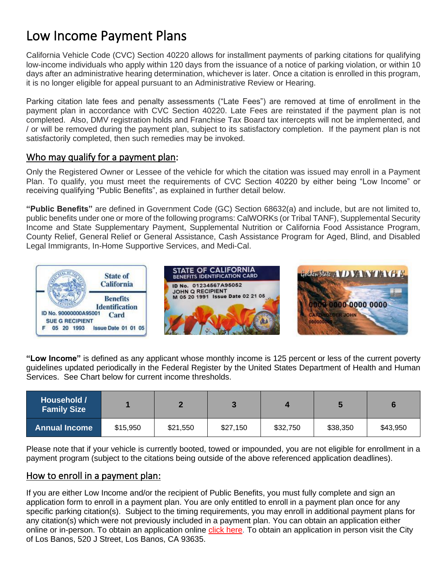# Low Income Payment Plans

California Vehicle Code (CVC) Section 40220 allows for installment payments of parking citations for qualifying low-income individuals who apply within 120 days from the issuance of a notice of parking violation, or within 10 days after an administrative hearing determination, whichever is later. Once a citation is enrolled in this program, it is no longer eligible for appeal pursuant to an Administrative Review or Hearing.

Parking citation late fees and penalty assessments ("Late Fees") are removed at time of enrollment in the payment plan in accordance with CVC Section 40220. Late Fees are reinstated if the payment plan is not completed. Also, DMV registration holds and Franchise Tax Board tax intercepts will not be implemented, and / or will be removed during the payment plan, subject to its satisfactory completion. If the payment plan is not satisfactorily completed, then such remedies may be invoked.

# Who may qualify for a payment plan:

Only the Registered Owner or Lessee of the vehicle for which the citation was issued may enroll in a Payment Plan. To qualify, you must meet the requirements of CVC Section 40220 by either being "Low Income" or receiving qualifying "Public Benefits", as explained in further detail below.

**"Public Benefits"** are defined in Government Code (GC) Section 68632(a) and include, but are not limited to, public benefits under one or more of the following programs: CalWORKs (or Tribal TANF), Supplemental Security Income and State Supplementary Payment, Supplemental Nutrition or California Food Assistance Program, County Relief, General Relief or General Assistance, Cash Assistance Program for Aged, Blind, and Disabled Legal Immigrants, In-Home Supportive Services, and Medi-Cal.



**"Low Income"** is defined as any applicant whose monthly income is 125 percent or less of the current poverty guidelines updated periodically in the Federal Register by the United States Department of Health and Human Services.See Chart below for current income thresholds.

| Household /<br><b>Family Size</b> |          |          |          |          |          |          |
|-----------------------------------|----------|----------|----------|----------|----------|----------|
| <b>Annual Income</b>              | \$15,950 | \$21,550 | \$27,150 | \$32,750 | \$38,350 | \$43,950 |

Please note that if your vehicle is currently booted, towed or impounded, you are not eligible for enrollment in a payment program (subject to the citations being outside of the above referenced application deadlines).

# How to enroll in a payment plan:

If you are either Low Income and/or the recipient of Public Benefits, you must fully complete and sign an application form to enroll in a payment plan. You are only entitled to enroll in a payment plan once for any specific parking citation(s). Subject to the timing requirements, you may enroll in additional payment plans for any citation(s) which were not previously included in a payment plan. You can obtain an application either online or in-person. To obtain an application online click here. To obtain an application in person visit the City of Los Banos, 520 J Street, Los Banos, CA 93635.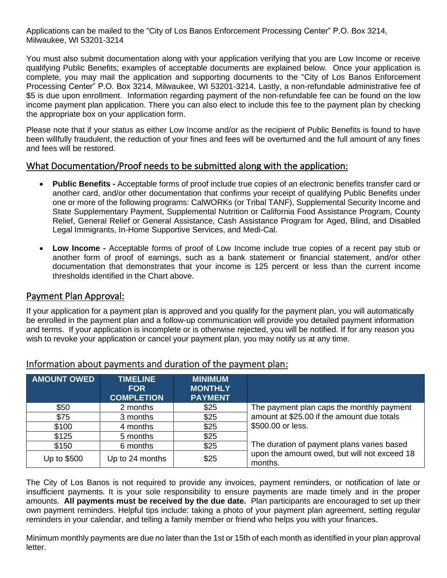Applications can be mailed to the "City of Los Banos Enforcement Processing Center" P.O. Box 3214, Milwaukee, WI 53201-3214

You must also submit documentation along with your application verifying that you are Low Income or receive qualifying Public Benefits; examples of acceptable documents are explained below. Once your application is complete, you may mail the application and supporting documents to the "City of Los Banos Enforcement Processing Center" P.O. Box 3214, Milwaukee, WI 53201-3214. Lastly, a non-refundable administrative fee of \$5 is due upon enrollment. Information regarding payment of the non-refundable fee can be found on the low income payment plan application. There you can also elect to include this fee to the payment plan by checking the appropriate box on your application form.

Please note that if your status as either Low Income and/or as the recipient of Public Benefits is found to have been willfully fraudulent, the reduction of your fines and fees will be overturned and the full amount of any fines and fees will be restored.

## What Documentation/Proof needs to be submitted along with the application:

- **Public Benefits -** Acceptable forms of proof include true copies of an electronic benefits transfer card or another card, and/or other documentation that confirms your receipt of qualifying Public Benefits under one or more of the following programs: CalWORKs (or Tribal TANF), Supplemental Security Income and State Supplementary Payment, Supplemental Nutrition or California Food Assistance Program, County Relief, General Relief or General Assistance, Cash Assistance Program for Aged, Blind, and Disabled Legal Immigrants, In-Home Supportive Services, and Medi-Cal.
- **Low Income -** Acceptable forms of proof of Low Income include true copies of a recent pay stub or another form of proof of earnings, such as a bank statement or financial statement, and/or other documentation that demonstrates that your income is 125 percent or less than the current income thresholds identified in the Chart above.

#### Payment Plan Approval:

If your application for a payment plan is approved and you qualify for the payment plan, you will automatically be enrolled in the payment plan and a follow-up communication will provide you detailed payment information and terms. If your application is incomplete or is otherwise rejected, you will be notified. If for any reason you wish to revoke your application or cancel your payment plan, you may notify us at any time.

| <b>AMOUNT OWED</b> | <b>TIMELINE</b><br><b>FOR</b><br><b>COMPLETION</b> | <b>MINIMUM</b><br><b>MONTHLY</b><br><b>PAYMENT</b> |                                                         |  |
|--------------------|----------------------------------------------------|----------------------------------------------------|---------------------------------------------------------|--|
| \$50               | 2 months                                           | \$25                                               | The payment plan caps the monthly payment               |  |
| \$75               | 3 months                                           | \$25                                               | amount at \$25.00 if the amount due totals              |  |
| \$100              | 4 months                                           | \$25                                               | \$500.00 or less.                                       |  |
| \$125              | 5 months                                           | \$25                                               |                                                         |  |
| \$150              | 6 months                                           | \$25                                               | The duration of payment plans varies based              |  |
| Up to \$500        | Up to 24 months                                    | \$25                                               | upon the amount owed, but will not exceed 18<br>months. |  |

#### Information about payments and duration of the payment plan:

The City of Los Banos is not required to provide any invoices, payment reminders, or notification of late or insufficient payments. It is your sole responsibility to ensure payments are made timely and in the proper amounts. **All payments must be received by the due date.** Plan participants are encouraged to set up their own payment reminders. Helpful tips include: taking a photo of your payment plan agreement, setting regular reminders in your calendar, and telling a family member or friend who helps you with your finances.

Minimum monthly payments are due no later than the 1st or 15th of each month as identified in your plan approval letter.